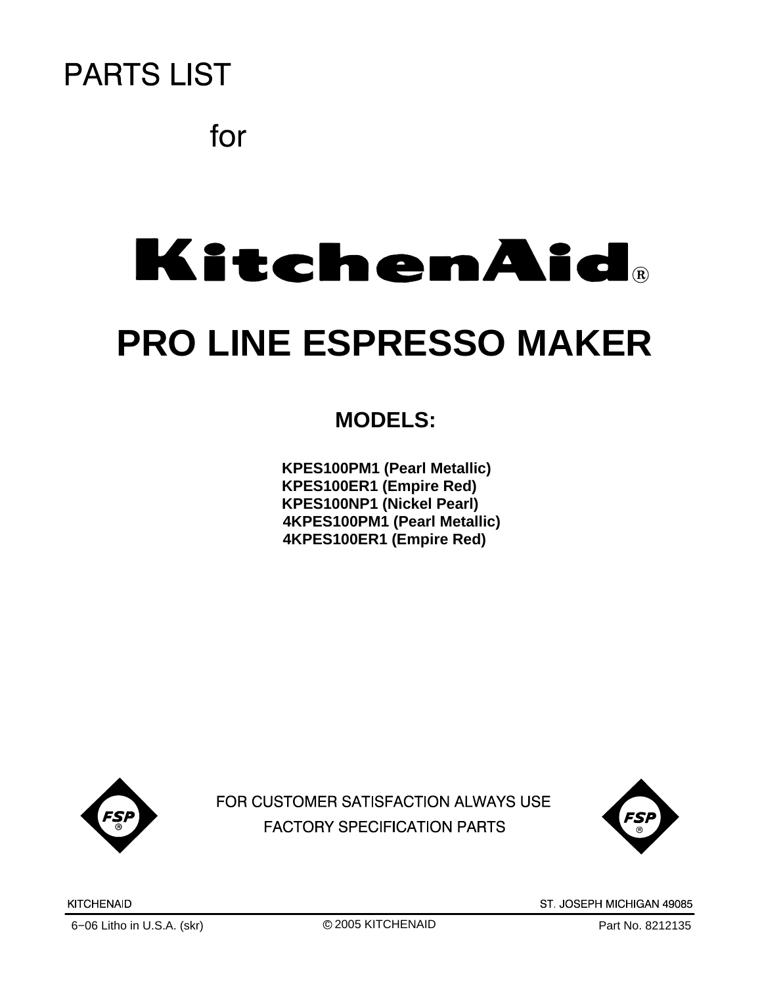

for

# **KitchenAid**®

# **PRO LINE ESPRESSO MAKER**

### **MODELS:**

**KPES100PM1 (Pearl Metallic) KPES100ER1 (Empire Red) KPES100NP1 (Nickel Pearl) 4KPES100PM1 (Pearl Metallic) 4KPES100ER1 (Empire Red)**



FOR CUSTOMER SATISFACTION ALWAYS USE **FACTORY SPECIFICATION PARTS** 



c 2005 KITCHENAID

ST. JOSEPH MICHIGAN 49085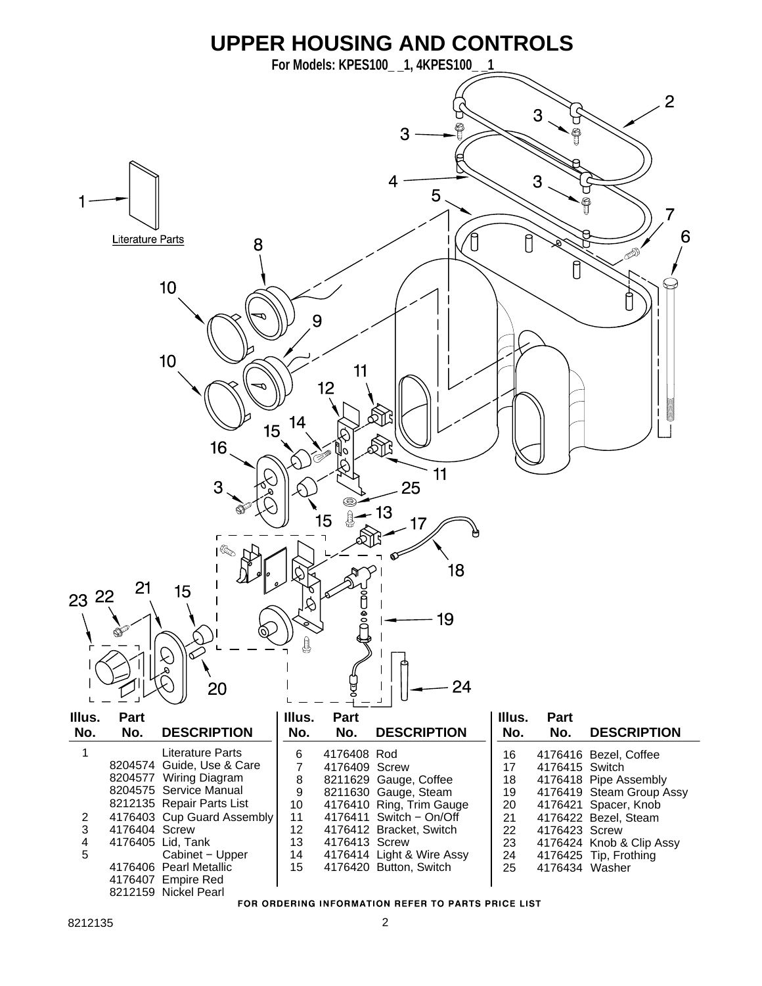

FOR ORDERING INFORMATION REFER TO PARTS PRICE LIST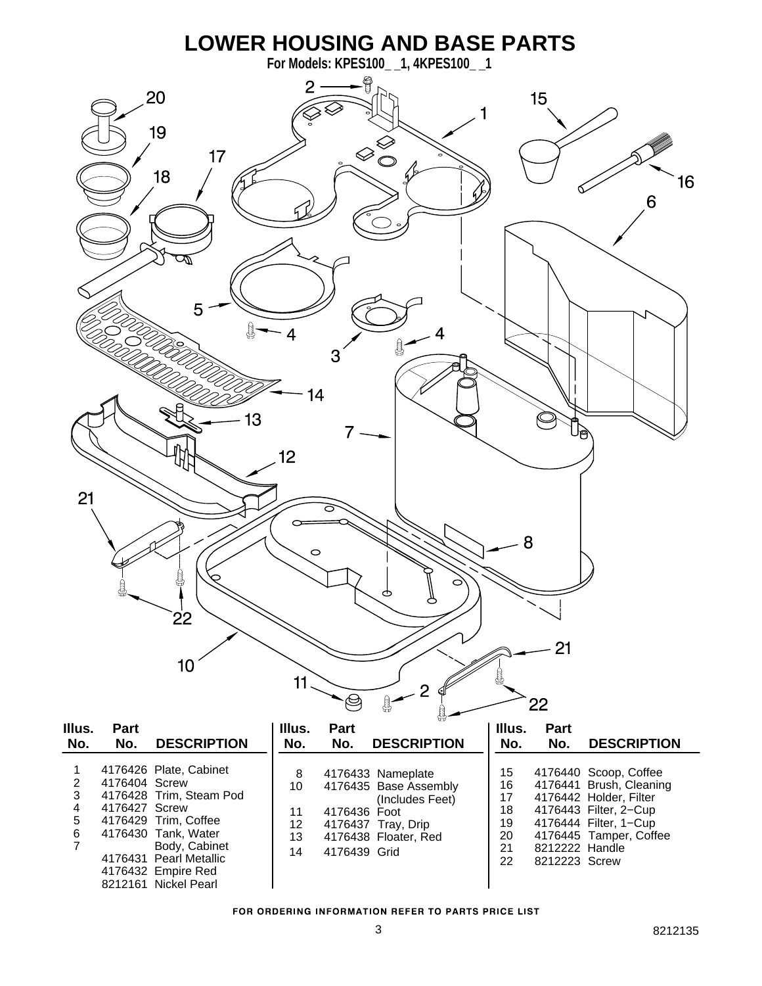

|  | <b>FOR ORDERING INFORMATION REFER TO PARTS PRICE LIST</b> |  |  |
|--|-----------------------------------------------------------|--|--|
|  |                                                           |  |  |

21 8212222 Handle<br>22 8212223 Screw 8212223 Screw

13 4176438 Floater, Red

14 4176439 Grid

7 Body, Cabinet 4176431 Pearl Metallic 4176432 Empire Red 8212161 Nickel Pearl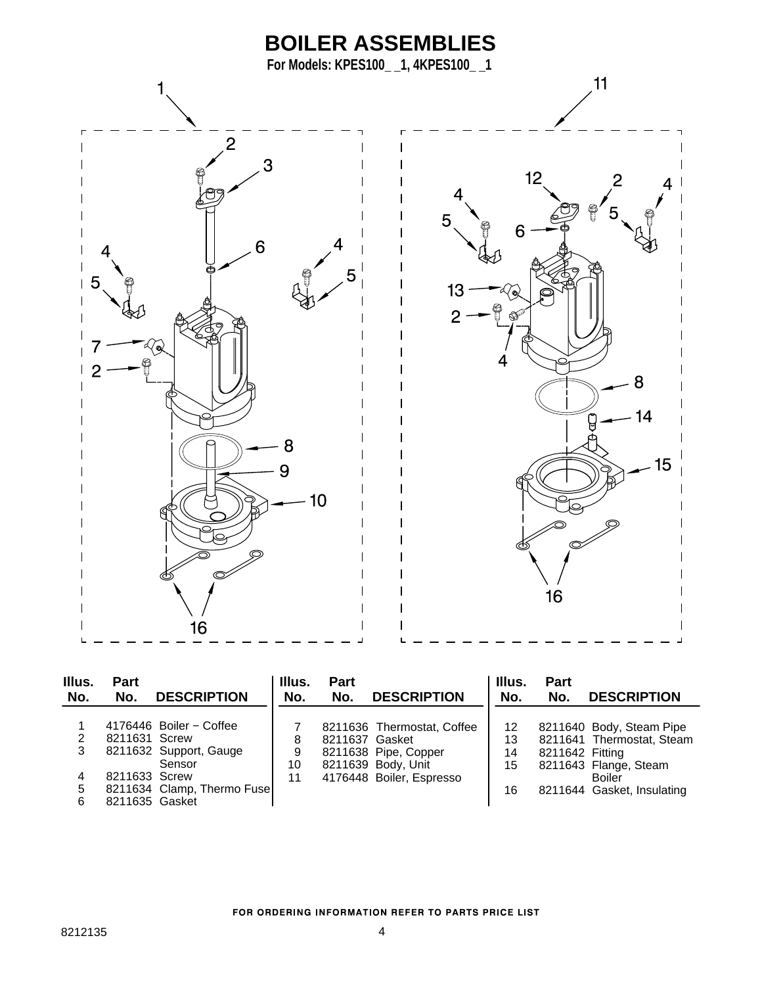

| Illus.<br>No. | <b>Part</b><br>No. | <b>DESCRIPTION</b>         | Illus.<br>No. | <b>Part</b><br>No. | <b>DESCRIPTION</b>         | Illus.<br>No. | <b>Part</b><br>No. | <b>DESCRIPTION</b>         |
|---------------|--------------------|----------------------------|---------------|--------------------|----------------------------|---------------|--------------------|----------------------------|
|               |                    | 4176446 Boiler - Coffee    |               |                    | 8211636 Thermostat, Coffee | 12            |                    | 8211640 Body, Steam Pipe   |
| 2             | 8211631 Screw      |                            | 8             | 8211637 Gasket     |                            | 13            |                    | 8211641 Thermostat, Steam  |
| 3             |                    | 8211632 Support, Gauge     | 9             |                    | 8211638 Pipe, Copper       | 14            | 8211642 Fitting    |                            |
|               |                    | Sensor                     | 10            |                    | 8211639 Body, Unit         | 15            |                    | 8211643 Flange, Steam      |
|               | 8211633 Screw      |                            | 11            |                    | 4176448 Boiler, Espresso   |               |                    | Boiler                     |
| 5             |                    | 8211634 Clamp, Thermo Fuse |               |                    |                            | 16            |                    | 8211644 Gasket, Insulating |
| 6             | 8211635 Gasket     |                            |               |                    |                            |               |                    |                            |

#### FOR ORDERING INFORMATION REFER TO PARTS PRICE LIST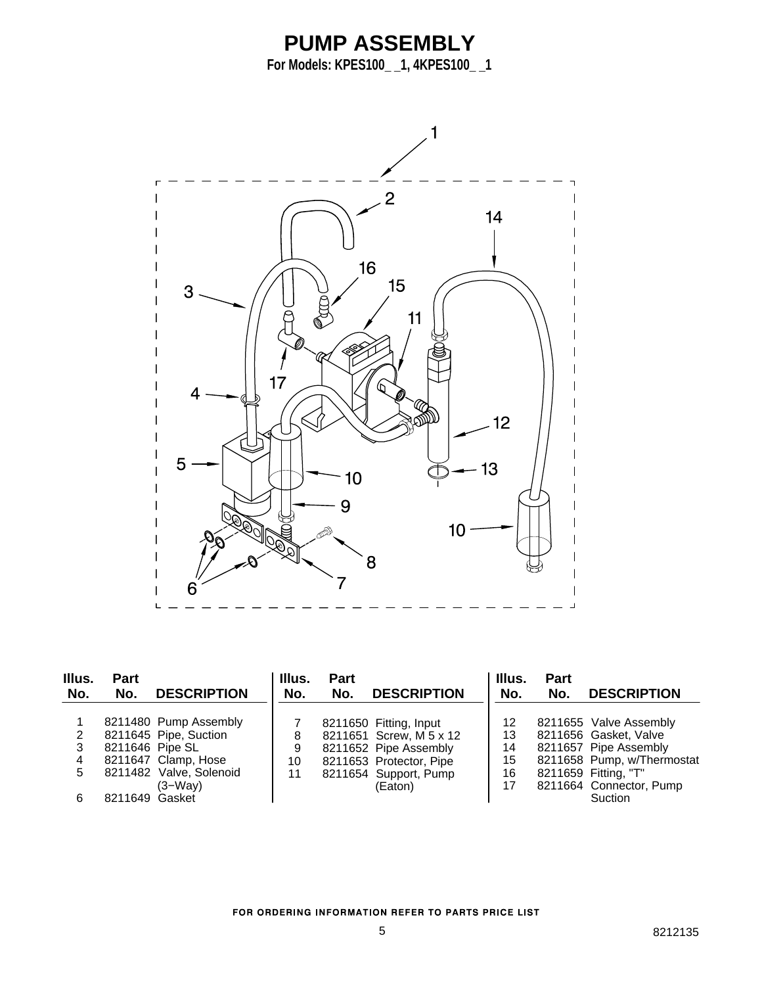## **PUMP ASSEMBLY**

**For Models: KPES100\_ \_1, 4KPES100\_ \_1**



| Illus.<br>No. | <b>Part</b><br>No. | <b>DESCRIPTION</b>      | Illus.<br>No. | <b>Part</b><br>No. | <b>DESCRIPTION</b>      | Illus.<br>No. | Part<br>No. | <b>DESCRIPTION</b>         |
|---------------|--------------------|-------------------------|---------------|--------------------|-------------------------|---------------|-------------|----------------------------|
|               |                    | 8211480 Pump Assembly   |               |                    | 8211650 Fitting, Input  | 12            |             | 8211655 Valve Assembly     |
|               |                    | 8211645 Pipe, Suction   | 8             |                    | 8211651 Screw, M 5 x 12 | 13            |             | 8211656 Gasket, Valve      |
| 3             | 8211646 Pipe SL    |                         | 9             |                    | 8211652 Pipe Assembly   | 14            |             | 8211657 Pipe Assembly      |
|               |                    | 8211647 Clamp, Hose     | 10            |                    | 8211653 Protector, Pipe | 15            |             | 8211658 Pump, w/Thermostat |
| 5.            |                    | 8211482 Valve, Solenoid | 11            |                    | 8211654 Support, Pump   | 16            |             | 8211659 Fitting, "T"       |
|               |                    | $(3-Way)$               |               |                    | (Eaton)                 | 17            |             | 8211664 Connector, Pump    |
|               | 8211649 Gasket     |                         |               |                    |                         |               |             | Suction                    |